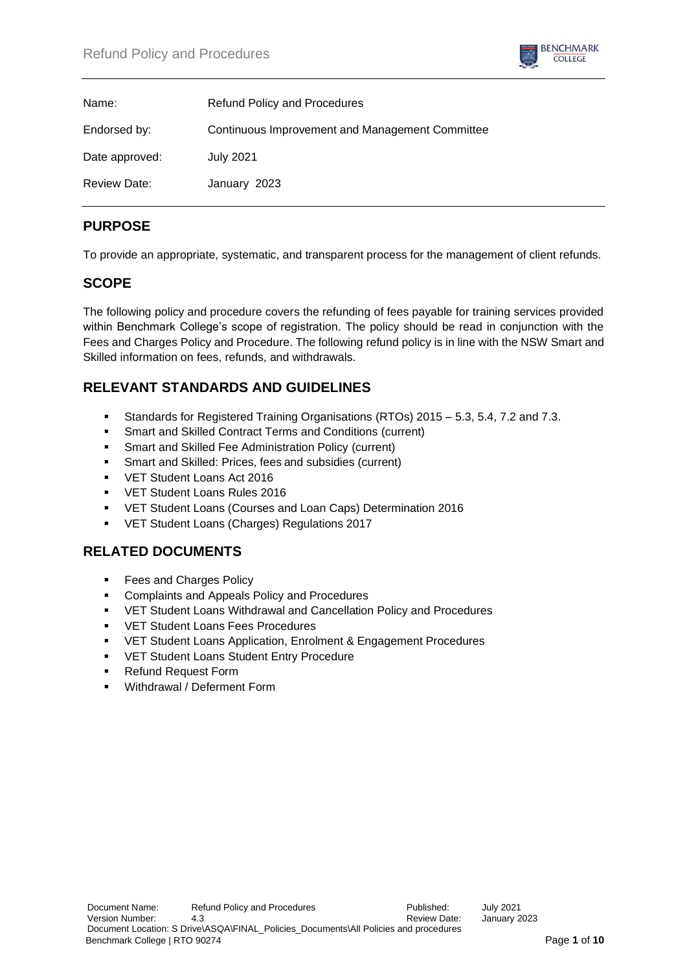

| Name:               | <b>Refund Policy and Procedures</b>             |
|---------------------|-------------------------------------------------|
| Endorsed by:        | Continuous Improvement and Management Committee |
| Date approved:      | <b>July 2021</b>                                |
| <b>Review Date:</b> | January 2023                                    |

# **PURPOSE**

To provide an appropriate, systematic, and transparent process for the management of client refunds.

## **SCOPE**

The following policy and procedure covers the refunding of fees payable for training services provided within Benchmark College's scope of registration. The policy should be read in conjunction with the Fees and Charges Policy and Procedure. The following refund policy is in line with the NSW Smart and Skilled information on fees, refunds, and withdrawals.

# **RELEVANT STANDARDS AND GUIDELINES**

- Standards for Registered Training Organisations (RTOs) 2015 5.3, 5.4, 7.2 and 7.3.
- Smart and Skilled Contract Terms and Conditions (current)
- **Smart and Skilled Fee Administration Policy (current)**
- Smart and Skilled: Prices, fees and subsidies (current)
- VET Student Loans Act 2016
- VET Student Loans Rules 2016
- VET Student Loans (Courses and Loan Caps) Determination 2016
- VET Student Loans (Charges) Regulations 2017

# **RELATED DOCUMENTS**

- Fees and Charges Policy
- Complaints and Appeals Policy and Procedures
- VET Student Loans Withdrawal and Cancellation Policy and Procedures
- **VET Student Loans Fees Procedures**
- VET Student Loans Application, Enrolment & Engagement Procedures
- VET Student Loans Student Entry Procedure
- Refund Request Form
- Withdrawal / Deferment Form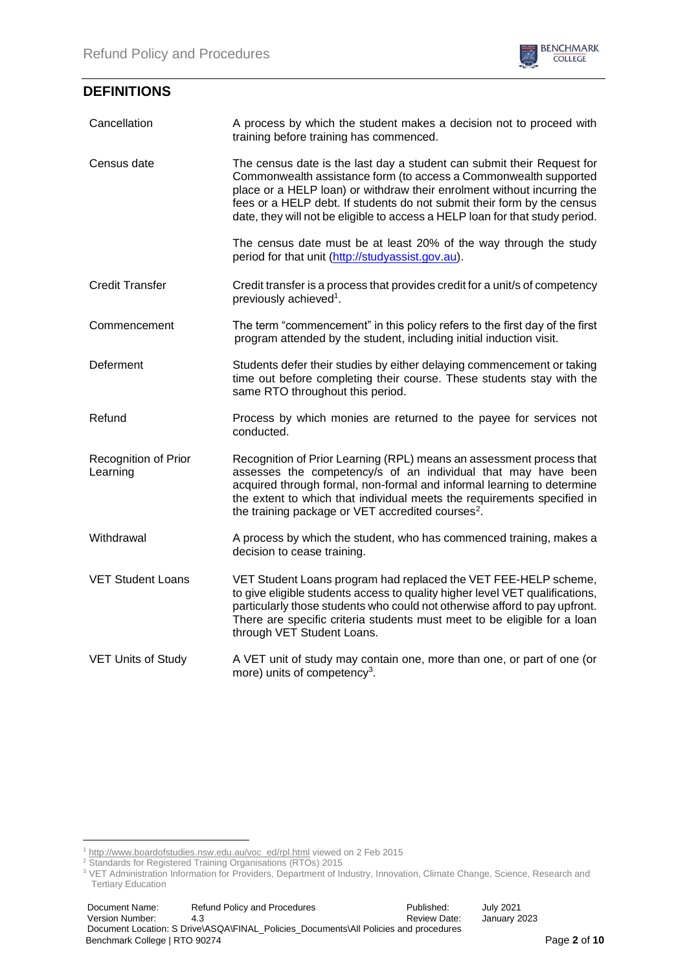

## **DEFINITIONS**

| Cancellation                     | A process by which the student makes a decision not to proceed with<br>training before training has commenced.                                                                                                                                                                                                                                                                   |  |
|----------------------------------|----------------------------------------------------------------------------------------------------------------------------------------------------------------------------------------------------------------------------------------------------------------------------------------------------------------------------------------------------------------------------------|--|
| Census date                      | The census date is the last day a student can submit their Request for<br>Commonwealth assistance form (to access a Commonwealth supported<br>place or a HELP loan) or withdraw their enrolment without incurring the<br>fees or a HELP debt. If students do not submit their form by the census<br>date, they will not be eligible to access a HELP loan for that study period. |  |
|                                  | The census date must be at least 20% of the way through the study<br>period for that unit (http://studyassist.gov.au).                                                                                                                                                                                                                                                           |  |
| <b>Credit Transfer</b>           | Credit transfer is a process that provides credit for a unit/s of competency<br>previously achieved <sup>1</sup> .                                                                                                                                                                                                                                                               |  |
| Commencement                     | The term "commencement" in this policy refers to the first day of the first<br>program attended by the student, including initial induction visit.                                                                                                                                                                                                                               |  |
| Deferment                        | Students defer their studies by either delaying commencement or taking<br>time out before completing their course. These students stay with the<br>same RTO throughout this period.                                                                                                                                                                                              |  |
| Refund                           | Process by which monies are returned to the payee for services not<br>conducted.                                                                                                                                                                                                                                                                                                 |  |
| Recognition of Prior<br>Learning | Recognition of Prior Learning (RPL) means an assessment process that<br>assesses the competency/s of an individual that may have been<br>acquired through formal, non-formal and informal learning to determine<br>the extent to which that individual meets the requirements specified in<br>the training package or VET accredited courses <sup>2</sup> .                      |  |
| Withdrawal                       | A process by which the student, who has commenced training, makes a<br>decision to cease training.                                                                                                                                                                                                                                                                               |  |
| <b>VET Student Loans</b>         | VET Student Loans program had replaced the VET FEE-HELP scheme,<br>to give eligible students access to quality higher level VET qualifications,<br>particularly those students who could not otherwise afford to pay upfront.<br>There are specific criteria students must meet to be eligible for a loan<br>through VET Student Loans.                                          |  |
| <b>VET Units of Study</b>        | A VET unit of study may contain one, more than one, or part of one (or<br>more) units of competency <sup>3</sup> .                                                                                                                                                                                                                                                               |  |

<sup>&</sup>lt;sup>1</sup> [http://www.boardofstudies.nsw.edu.au/voc\\_ed/rpl.html](http://www.boardofstudies.nsw.edu.au/voc_ed/rpl.html) viewed on 2 Feb 2015

<sup>&</sup>lt;sup>2</sup> Standards for Registered Training Organisations (RTOs) 2015

<sup>&</sup>lt;sup>3</sup> VET Administration Information for Providers, Department of Industry, Innovation, Climate Change, Science, Research and Tertiary Education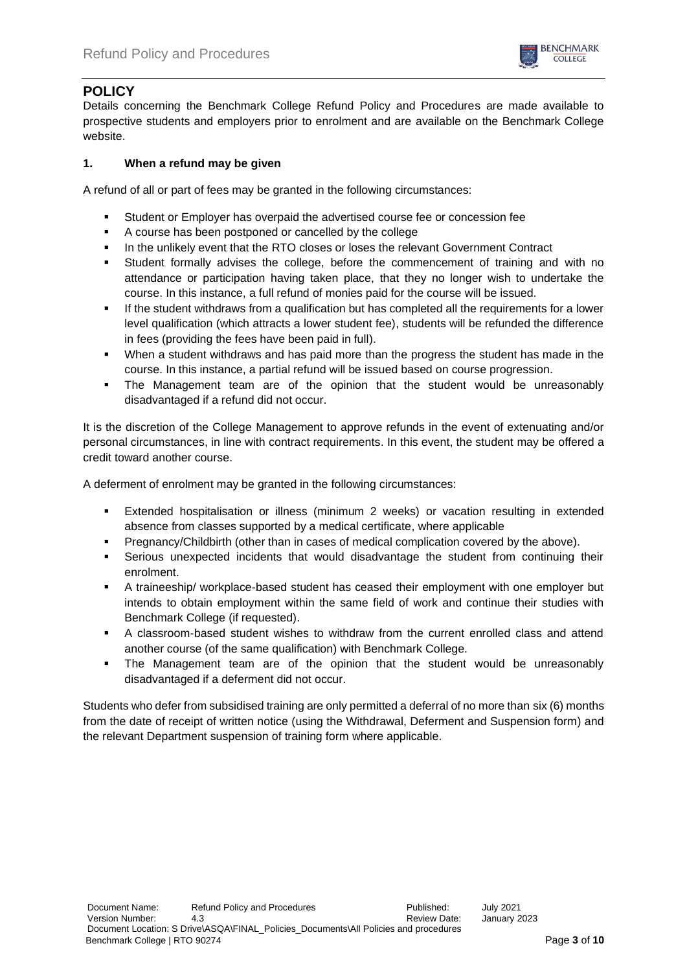

## **POLICY**

Details concerning the Benchmark College Refund Policy and Procedures are made available to prospective students and employers prior to enrolment and are available on the Benchmark College website.

## **1. When a refund may be given**

A refund of all or part of fees may be granted in the following circumstances:

- Student or Employer has overpaid the advertised course fee or concession fee
- A course has been postponed or cancelled by the college
- In the unlikely event that the RTO closes or loses the relevant Government Contract
- Student formally advises the college, before the commencement of training and with no attendance or participation having taken place, that they no longer wish to undertake the course. In this instance, a full refund of monies paid for the course will be issued.
- If the student withdraws from a qualification but has completed all the requirements for a lower level qualification (which attracts a lower student fee), students will be refunded the difference in fees (providing the fees have been paid in full).
- When a student withdraws and has paid more than the progress the student has made in the course. In this instance, a partial refund will be issued based on course progression.
- The Management team are of the opinion that the student would be unreasonably disadvantaged if a refund did not occur.

It is the discretion of the College Management to approve refunds in the event of extenuating and/or personal circumstances, in line with contract requirements. In this event, the student may be offered a credit toward another course.

A deferment of enrolment may be granted in the following circumstances:

- Extended hospitalisation or illness (minimum 2 weeks) or vacation resulting in extended absence from classes supported by a medical certificate, where applicable
- Pregnancy/Childbirth (other than in cases of medical complication covered by the above).
- Serious unexpected incidents that would disadvantage the student from continuing their enrolment.
- A traineeship/ workplace-based student has ceased their employment with one employer but intends to obtain employment within the same field of work and continue their studies with Benchmark College (if requested).
- A classroom-based student wishes to withdraw from the current enrolled class and attend another course (of the same qualification) with Benchmark College.
- The Management team are of the opinion that the student would be unreasonably disadvantaged if a deferment did not occur.

Students who defer from subsidised training are only permitted a deferral of no more than six (6) months from the date of receipt of written notice (using the Withdrawal, Deferment and Suspension form) and the relevant Department suspension of training form where applicable.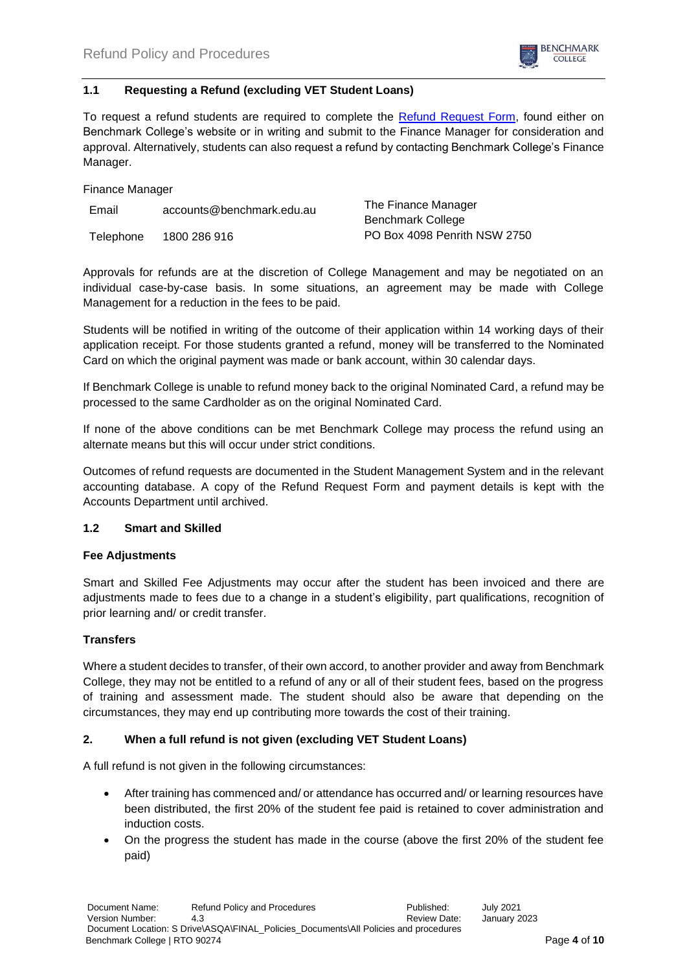

### **1.1 Requesting a Refund (excluding VET Student Loans)**

To request a refund students are required to complete the [Refund Request Form,](https://d9410ba4-9306-4f18-bf43-8b3d0bb00d03.usrfiles.com/ugd/d9410b_b6ccd220c6b048f4b8220fdd95ddcaef.pdf) found either on Benchmark College's website or in writing and submit to the Finance Manager for consideration and approval. Alternatively, students can also request a refund by contacting Benchmark College's Finance Manager.

Finance Manager

| Email     | accounts@benchmark.edu.au | The Finance Manager          |
|-----------|---------------------------|------------------------------|
|           |                           | <b>Benchmark College</b>     |
| Telephone | 1800 286 916              | PO Box 4098 Penrith NSW 2750 |

Approvals for refunds are at the discretion of College Management and may be negotiated on an individual case-by-case basis. In some situations, an agreement may be made with College Management for a reduction in the fees to be paid.

Students will be notified in writing of the outcome of their application within 14 working days of their application receipt. For those students granted a refund, money will be transferred to the Nominated Card on which the original payment was made or bank account, within 30 calendar days.

If Benchmark College is unable to refund money back to the original Nominated Card, a refund may be processed to the same Cardholder as on the original Nominated Card.

If none of the above conditions can be met Benchmark College may process the refund using an alternate means but this will occur under strict conditions.

Outcomes of refund requests are documented in the Student Management System and in the relevant accounting database. A copy of the Refund Request Form and payment details is kept with the Accounts Department until archived.

### **1.2 Smart and Skilled**

### **Fee Adjustments**

Smart and Skilled Fee Adjustments may occur after the student has been invoiced and there are adjustments made to fees due to a change in a student's eligibility, part qualifications, recognition of prior learning and/ or credit transfer.

### **Transfers**

Where a student decides to transfer, of their own accord, to another provider and away from Benchmark College, they may not be entitled to a refund of any or all of their student fees, based on the progress of training and assessment made. The student should also be aware that depending on the circumstances, they may end up contributing more towards the cost of their training.

### **2. When a full refund is not given (excluding VET Student Loans)**

A full refund is not given in the following circumstances:

- After training has commenced and/ or attendance has occurred and/ or learning resources have been distributed, the first 20% of the student fee paid is retained to cover administration and induction costs.
- On the progress the student has made in the course (above the first 20% of the student fee paid)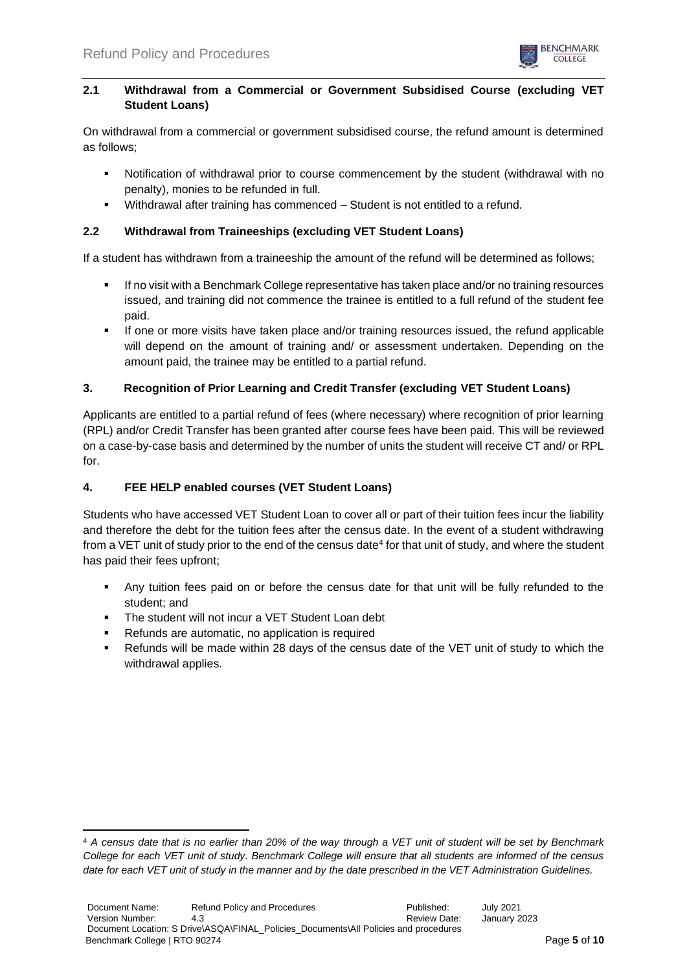

## **2.1 Withdrawal from a Commercial or Government Subsidised Course (excluding VET Student Loans)**

On withdrawal from a commercial or government subsidised course, the refund amount is determined as follows;

- Notification of withdrawal prior to course commencement by the student (withdrawal with no penalty), monies to be refunded in full.
- Withdrawal after training has commenced Student is not entitled to a refund.

## **2.2 Withdrawal from Traineeships (excluding VET Student Loans)**

If a student has withdrawn from a traineeship the amount of the refund will be determined as follows;

- If no visit with a Benchmark College representative has taken place and/or no training resources issued, and training did not commence the trainee is entitled to a full refund of the student fee paid.
- If one or more visits have taken place and/or training resources issued, the refund applicable will depend on the amount of training and/ or assessment undertaken. Depending on the amount paid, the trainee may be entitled to a partial refund.

## **3. Recognition of Prior Learning and Credit Transfer (excluding VET Student Loans)**

Applicants are entitled to a partial refund of fees (where necessary) where recognition of prior learning (RPL) and/or Credit Transfer has been granted after course fees have been paid. This will be reviewed on a case-by-case basis and determined by the number of units the student will receive CT and/ or RPL for.

### **4. FEE HELP enabled courses (VET Student Loans)**

Students who have accessed VET Student Loan to cover all or part of their tuition fees incur the liability and therefore the debt for the tuition fees after the census date. In the event of a student withdrawing from a VET unit of study prior to the end of the census date<sup>4</sup> for that unit of study, and where the student has paid their fees upfront;

- Any tuition fees paid on or before the census date for that unit will be fully refunded to the student; and
- The student will not incur a VET Student Loan debt
- Refunds are automatic, no application is required
- Refunds will be made within 28 days of the census date of the VET unit of study to which the withdrawal applies.

<sup>4</sup> *A census date that is no earlier than 20% of the way through a VET unit of student will be set by Benchmark College for each VET unit of study. Benchmark College will ensure that all students are informed of the census date for each VET unit of study in the manner and by the date prescribed in the VET Administration Guidelines.*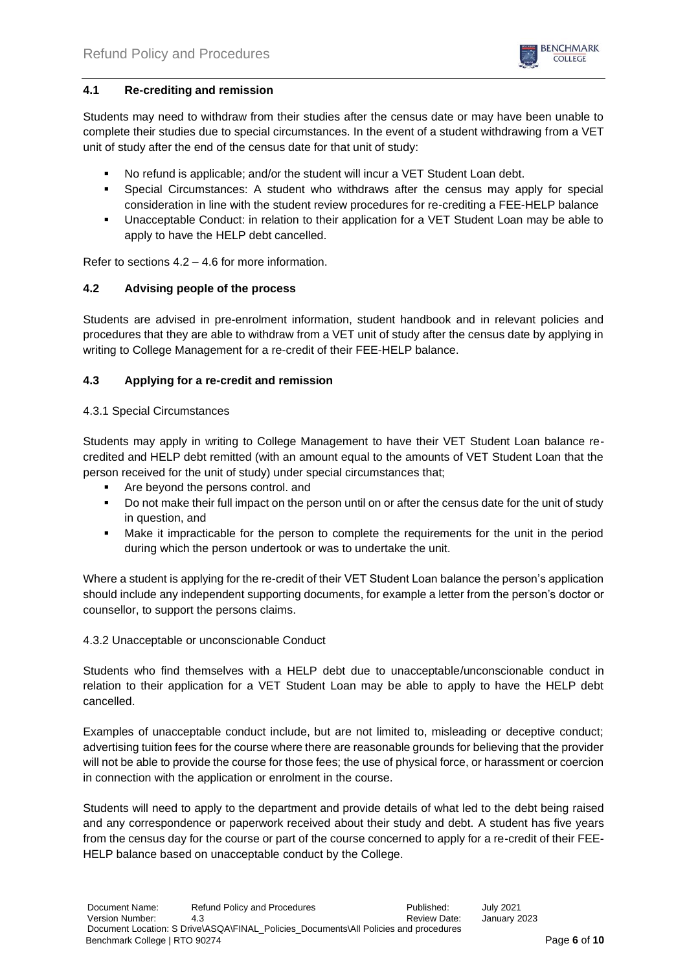

## **4.1 Re-crediting and remission**

Students may need to withdraw from their studies after the census date or may have been unable to complete their studies due to special circumstances. In the event of a student withdrawing from a VET unit of study after the end of the census date for that unit of study:

- No refund is applicable; and/or the student will incur a VET Student Loan debt.
- Special Circumstances: A student who withdraws after the census may apply for special consideration in line with the student review procedures for re-crediting a FEE-HELP balance
- Unacceptable Conduct: in relation to their application for a VET Student Loan may be able to apply to have the HELP debt cancelled.

Refer to sections 4.2 – 4.6 for more information.

### **4.2 Advising people of the process**

Students are advised in pre-enrolment information, student handbook and in relevant policies and procedures that they are able to withdraw from a VET unit of study after the census date by applying in writing to College Management for a re-credit of their FEE-HELP balance.

### **4.3 Applying for a re-credit and remission**

#### 4.3.1 Special Circumstances

Students may apply in writing to College Management to have their VET Student Loan balance recredited and HELP debt remitted (with an amount equal to the amounts of VET Student Loan that the person received for the unit of study) under special circumstances that;

- Are beyond the persons control. and
- Do not make their full impact on the person until on or after the census date for the unit of study in question, and
- Make it impracticable for the person to complete the requirements for the unit in the period during which the person undertook or was to undertake the unit.

Where a student is applying for the re-credit of their VET Student Loan balance the person's application should include any independent supporting documents, for example a letter from the person's doctor or counsellor, to support the persons claims.

### 4.3.2 Unacceptable or unconscionable Conduct

Students who find themselves with a HELP debt due to unacceptable/unconscionable conduct in relation to their application for a VET Student Loan may be able to apply to have the HELP debt cancelled.

Examples of unacceptable conduct include, but are not limited to, misleading or deceptive conduct; advertising tuition fees for the course where there are reasonable grounds for believing that the provider will not be able to provide the course for those fees; the use of physical force, or harassment or coercion in connection with the application or enrolment in the course.

Students will need to apply to the department and provide details of what led to the debt being raised and any correspondence or paperwork received about their study and debt. A student has five years from the census day for the course or part of the course concerned to apply for a re-credit of their FEE-HELP balance based on unacceptable conduct by the College.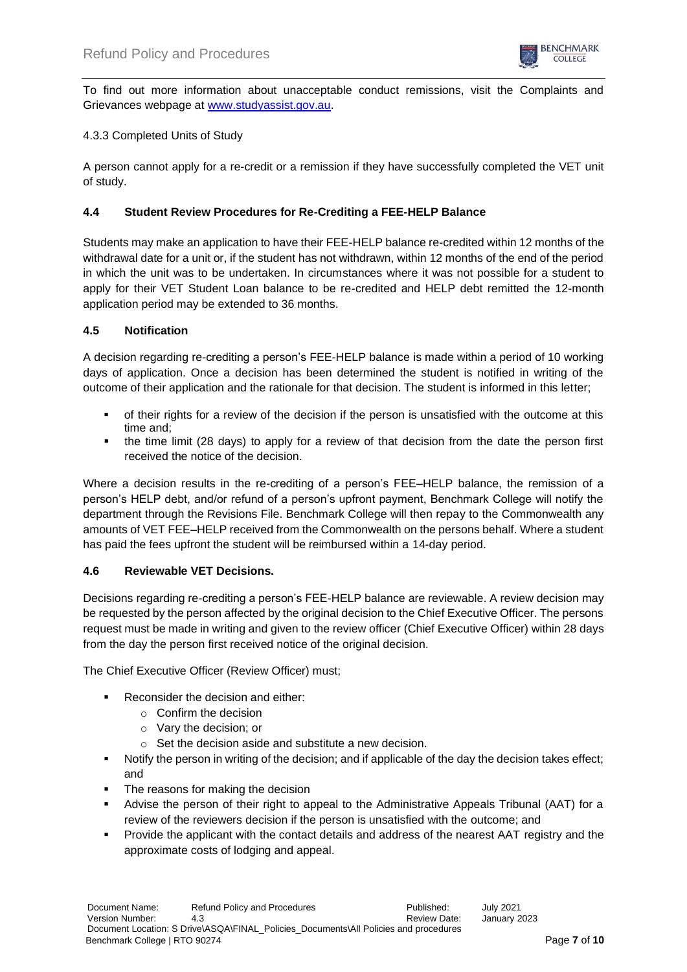

To find out more information about unacceptable conduct remissions, visit the Complaints and Grievances webpage at [www.studyassist.gov.au.](http://www.studyassist.gov.au/)

## 4.3.3 Completed Units of Study

A person cannot apply for a re-credit or a remission if they have successfully completed the VET unit of study.

### **4.4 Student Review Procedures for Re-Crediting a FEE-HELP Balance**

Students may make an application to have their FEE-HELP balance re-credited within 12 months of the withdrawal date for a unit or, if the student has not withdrawn, within 12 months of the end of the period in which the unit was to be undertaken. In circumstances where it was not possible for a student to apply for their VET Student Loan balance to be re-credited and HELP debt remitted the 12-month application period may be extended to 36 months.

### **4.5 Notification**

A decision regarding re-crediting a person's FEE-HELP balance is made within a period of 10 working days of application. Once a decision has been determined the student is notified in writing of the outcome of their application and the rationale for that decision. The student is informed in this letter;

- of their rights for a review of the decision if the person is unsatisfied with the outcome at this time and;
- the time limit (28 days) to apply for a review of that decision from the date the person first received the notice of the decision.

Where a decision results in the re-crediting of a person's FEE–HELP balance, the remission of a person's HELP debt, and/or refund of a person's upfront payment, Benchmark College will notify the department through the Revisions File. Benchmark College will then repay to the Commonwealth any amounts of VET FEE–HELP received from the Commonwealth on the persons behalf. Where a student has paid the fees upfront the student will be reimbursed within a 14-day period.

### **4.6 Reviewable VET Decisions.**

Decisions regarding re-crediting a person's FEE-HELP balance are reviewable. A review decision may be requested by the person affected by the original decision to the Chief Executive Officer. The persons request must be made in writing and given to the review officer (Chief Executive Officer) within 28 days from the day the person first received notice of the original decision.

The Chief Executive Officer (Review Officer) must;

- Reconsider the decision and either:
	- o Confirm the decision
	- o Vary the decision; or
	- o Set the decision aside and substitute a new decision.
- Notify the person in writing of the decision; and if applicable of the day the decision takes effect; and
- The reasons for making the decision
- Advise the person of their right to appeal to the Administrative Appeals Tribunal (AAT) for a review of the reviewers decision if the person is unsatisfied with the outcome; and
- Provide the applicant with the contact details and address of the nearest AAT registry and the approximate costs of lodging and appeal.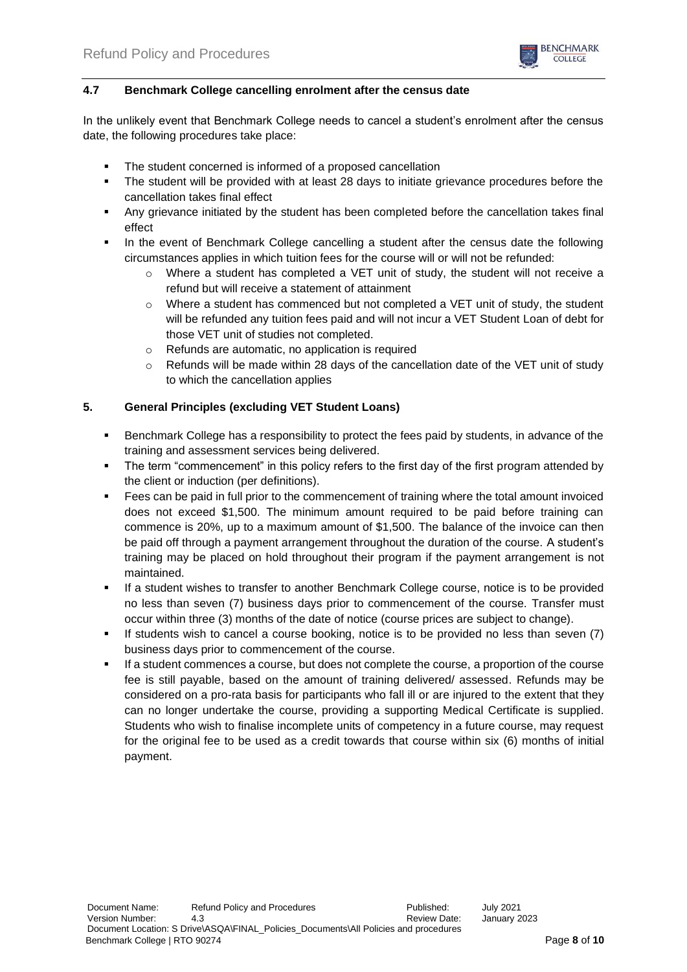

## **4.7 Benchmark College cancelling enrolment after the census date**

In the unlikely event that Benchmark College needs to cancel a student's enrolment after the census date, the following procedures take place:

- The student concerned is informed of a proposed cancellation
- **•** The student will be provided with at least 28 days to initiate grievance procedures before the cancellation takes final effect
- Any grievance initiated by the student has been completed before the cancellation takes final effect
- In the event of Benchmark College cancelling a student after the census date the following circumstances applies in which tuition fees for the course will or will not be refunded:
	- $\circ$  Where a student has completed a VET unit of study, the student will not receive a refund but will receive a statement of attainment
	- $\circ$  Where a student has commenced but not completed a VET unit of study, the student will be refunded any tuition fees paid and will not incur a VET Student Loan of debt for those VET unit of studies not completed.
	- $\circ$  Refunds are automatic, no application is required
	- $\circ$  Refunds will be made within 28 days of the cancellation date of the VET unit of study to which the cancellation applies

### **5. General Principles (excluding VET Student Loans)**

- **EXECO FEET A REPORT FIGHT FIGHTS IN SECT** benchmark College has a responsibility to protect the fees paid by students, in advance of the training and assessment services being delivered.
- The term "commencement" in this policy refers to the first day of the first program attended by the client or induction (per definitions).
- Fees can be paid in full prior to the commencement of training where the total amount invoiced does not exceed \$1,500. The minimum amount required to be paid before training can commence is 20%, up to a maximum amount of \$1,500. The balance of the invoice can then be paid off through a payment arrangement throughout the duration of the course. A student's training may be placed on hold throughout their program if the payment arrangement is not maintained.
- If a student wishes to transfer to another Benchmark College course, notice is to be provided no less than seven (7) business days prior to commencement of the course. Transfer must occur within three (3) months of the date of notice (course prices are subject to change).
- If students wish to cancel a course booking, notice is to be provided no less than seven (7) business days prior to commencement of the course.
- If a student commences a course, but does not complete the course, a proportion of the course fee is still payable, based on the amount of training delivered/ assessed. Refunds may be considered on a pro-rata basis for participants who fall ill or are injured to the extent that they can no longer undertake the course, providing a supporting Medical Certificate is supplied. Students who wish to finalise incomplete units of competency in a future course, may request for the original fee to be used as a credit towards that course within six (6) months of initial payment.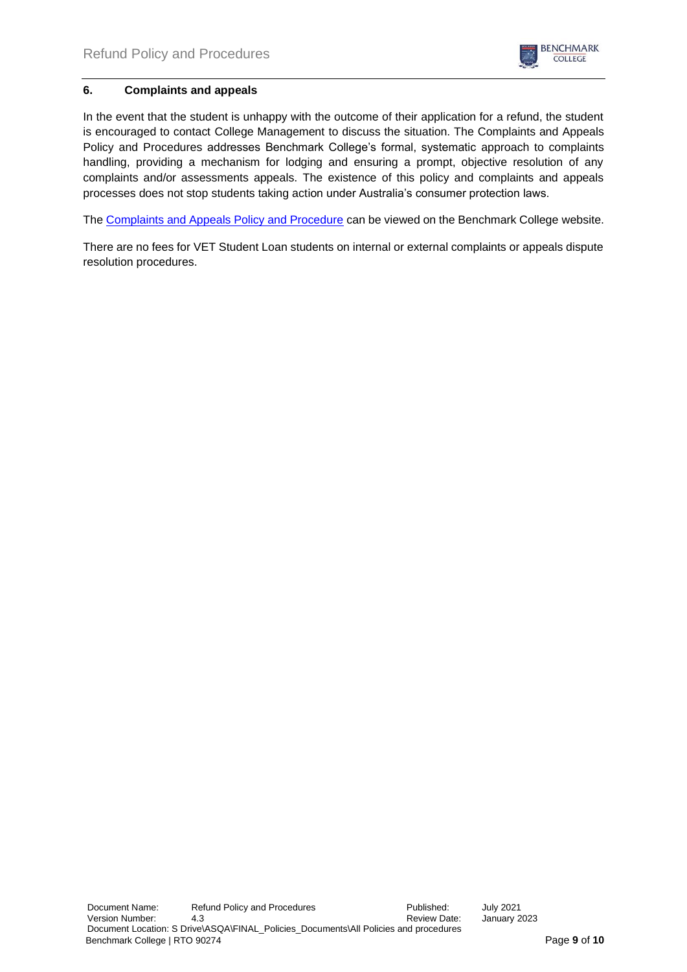

## **6. Complaints and appeals**

In the event that the student is unhappy with the outcome of their application for a refund, the student is encouraged to contact College Management to discuss the situation. The Complaints and Appeals Policy and Procedures addresses Benchmark College's formal, systematic approach to complaints handling, providing a mechanism for lodging and ensuring a prompt, objective resolution of any complaints and/or assessments appeals. The existence of this policy and complaints and appeals processes does not stop students taking action under Australia's consumer protection laws.

The [Complaints and Appeals Policy and Procedure](https://d9410ba4-9306-4f18-bf43-8b3d0bb00d03.usrfiles.com/ugd/d9410b_f13ee133364b475f9435864a69c7db1f.pdf) can be viewed on the Benchmark College website.

There are no fees for VET Student Loan students on internal or external complaints or appeals dispute resolution procedures.